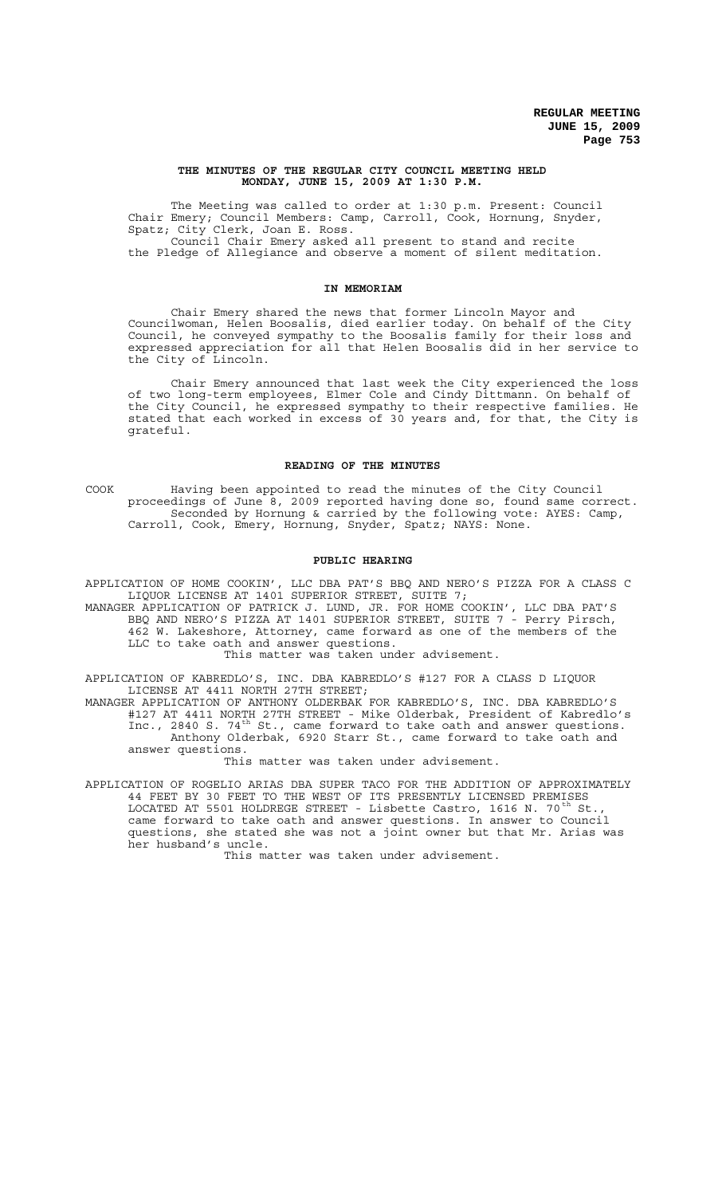## **THE MINUTES OF THE REGULAR CITY COUNCIL MEETING HELD MONDAY, JUNE 15, 2009 AT 1:30 P.M.**

The Meeting was called to order at 1:30 p.m. Present: Council Chair Emery; Council Members: Camp, Carroll, Cook, Hornung, Snyder, Spatz; City Clerk, Joan E. Ross.

Council Chair Emery asked all present to stand and recite the Pledge of Allegiance and observe a moment of silent meditation.

# **IN MEMORIAM**

Chair Emery shared the news that former Lincoln Mayor and Councilwoman, Helen Boosalis, died earlier today. On behalf of the City Council, he conveyed sympathy to the Boosalis family for their loss and expressed appreciation for all that Helen Boosalis did in her service to the City of Lincoln.

Chair Emery announced that last week the City experienced the loss of two long-term employees, Elmer Cole and Cindy Dittmann. On behalf of the City Council, he expressed sympathy to their respective families. He stated that each worked in excess of 30 years and, for that, the City is grateful.

### **READING OF THE MINUTES**

COOK Having been appointed to read the minutes of the City Council proceedings of June 8, 2009 reported having done so, found same correct. Seconded by Hornung & carried by the following vote: AYES: Camp, Carroll, Cook, Emery, Hornung, Snyder, Spatz; NAYS: None.

### **PUBLIC HEARING**

APPLICATION OF HOME COOKIN', LLC DBA PAT'S BBQ AND NERO'S PIZZA FOR A CLASS C LIQUOR LICENSE AT 1401 SUPERIOR STREET, SUITE 7;

MANAGER APPLICATION OF PATRICK J. LUND, JR. FOR HOME COOKIN', LLC DBA PAT'S BBQ AND NERO'S PIZZA AT 1401 SUPERIOR STREET, SUITE 7 - Perry Pirsch, 462 W. Lakeshore, Attorney, came forward as one of the members of the LLC to take oath and answer questions.

This matter was taken under advisement.

APPLICATION OF KABREDLO'S, INC. DBA KABREDLO'S #127 FOR A CLASS D LIQUOR LICENSE AT 4411 NORTH 27TH STREET;

MANAGER APPLICATION OF ANTHONY OLDERBAK FOR KABREDLO'S, INC. DBA KABREDLO'S #127 AT 4411 NORTH 27TH STREET - Mike Olderbak, President of Kabredlo's Inc., 2840 S. 74<sup>th</sup> St., came forward to take oath and answer questions. Anthony Olderbak, 6920 Starr St., came forward to take oath and answer questions.

This matter was taken under advisement.

APPLICATION OF ROGELIO ARIAS DBA SUPER TACO FOR THE ADDITION OF APPROXIMATELY 44 FEET BY 30 FEET TO THE WEST OF ITS PRESENTLY LICENSED PREMISES LOCATED AT 5501 HOLDREGE STREET - Lisbette Castro, 1616 N. 70<sup>th</sup> St came forward to take oath and answer questions. In answer to Council questions, she stated she was not a joint owner but that Mr. Arias was her husband's uncle.

This matter was taken under advisement.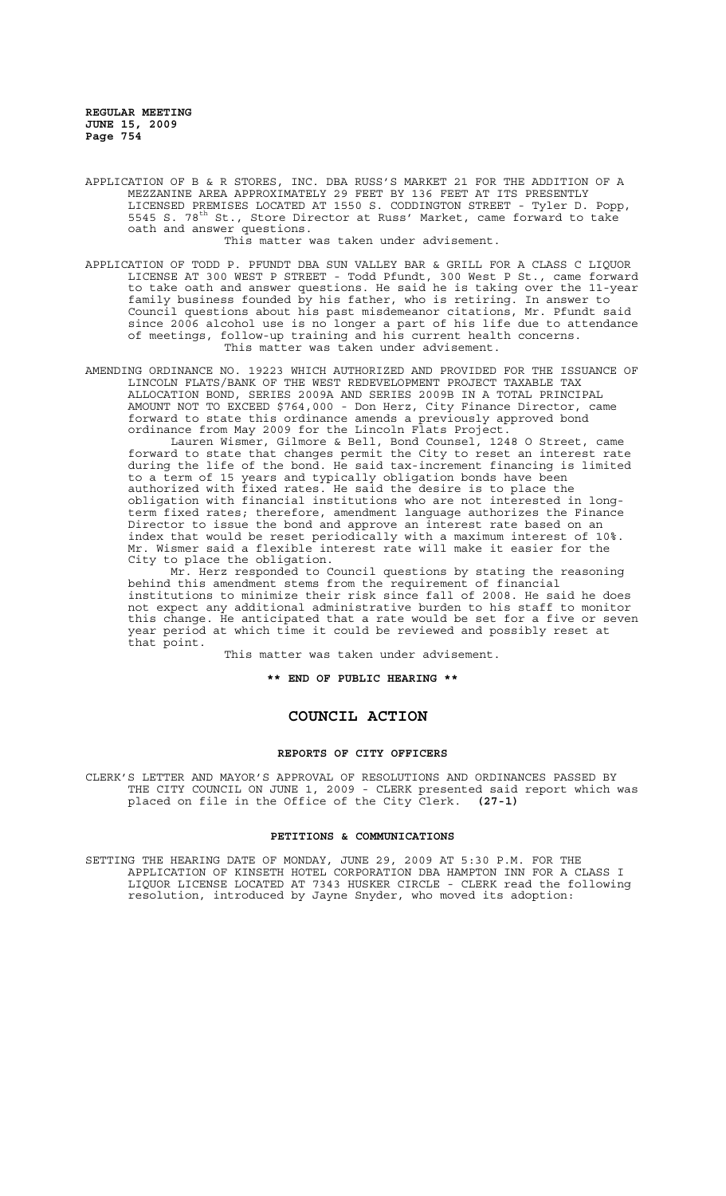APPLICATION OF B & R STORES, INC. DBA RUSS'S MARKET 21 FOR THE ADDITION OF A MEZZANINE AREA APPROXIMATELY 29 FEET BY 136 FEET AT ITS PRESENTLY LICENSED PREMISES LOCATED AT 1550 S. CODDINGTON STREET - Tyler D. Popp, 5545 S. 78<sup>th</sup> St., Store Director at Russ' Market, came forward to take oath and answer questions.

This matter was taken under advisement.

APPLICATION OF TODD P. PFUNDT DBA SUN VALLEY BAR & GRILL FOR A CLASS C LIQUOR LICENSE AT 300 WEST P STREET - Todd Pfundt, 300 West P St., came forward to take oath and answer questions. He said he is taking over the 11-year family business founded by his father, who is retiring. In answer to Council questions about his past misdemeanor citations, Mr. Pfundt said since 2006 alcohol use is no longer a part of his life due to attendance of meetings, follow-up training and his current health concerns. This matter was taken under advisement.

AMENDING ORDINANCE NO. 19223 WHICH AUTHORIZED AND PROVIDED FOR THE ISSUANCE OF LINCOLN FLATS/BANK OF THE WEST REDEVELOPMENT PROJECT TAXABLE TAX ALLOCATION BOND, SERIES 2009A AND SERIES 2009B IN A TOTAL PRINCIPAL AMOUNT NOT TO EXCEED \$764,000 - Don Herz, City Finance Director, came forward to state this ordinance amends a previously approved bond ordinance from May 2009 for the Lincoln Flats Project.

Lauren Wismer, Gilmore & Bell, Bond Counsel, 1248 O Street, came forward to state that changes permit the City to reset an interest rate during the life of the bond. He said tax-increment financing is limited to a term of 15 years and typically obligation bonds have been authorized with fixed rates. He said the desire is to place the obligation with financial institutions who are not interested in longterm fixed rates; therefore, amendment language authorizes the Finance Director to issue the bond and approve an interest rate based on an index that would be reset periodically with a maximum interest of 10%. Mr. Wismer said a flexible interest rate will make it easier for the City to place the obligation.

Mr. Herz responded to Council questions by stating the reasoning behind this amendment stems from the requirement of financial institutions to minimize their risk since fall of 2008. He said he does not expect any additional administrative burden to his staff to monitor this change. He anticipated that a rate would be set for a five or seven year period at which time it could be reviewed and possibly reset at that point.

This matter was taken under advisement.

**\*\* END OF PUBLIC HEARING \*\***

# **COUNCIL ACTION**

### **REPORTS OF CITY OFFICERS**

CLERK'S LETTER AND MAYOR'S APPROVAL OF RESOLUTIONS AND ORDINANCES PASSED BY THE CITY COUNCIL ON JUNE 1, 2009 - CLERK presented said report which was placed on file in the Office of the City Clerk. **(27-1)**

### **PETITIONS & COMMUNICATIONS**

SETTING THE HEARING DATE OF MONDAY, JUNE 29, 2009 AT 5:30 P.M. FOR THE APPLICATION OF KINSETH HOTEL CORPORATION DBA HAMPTON INN FOR A CLASS I LIQUOR LICENSE LOCATED AT 7343 HUSKER CIRCLE - CLERK read the following resolution, introduced by Jayne Snyder, who moved its adoption: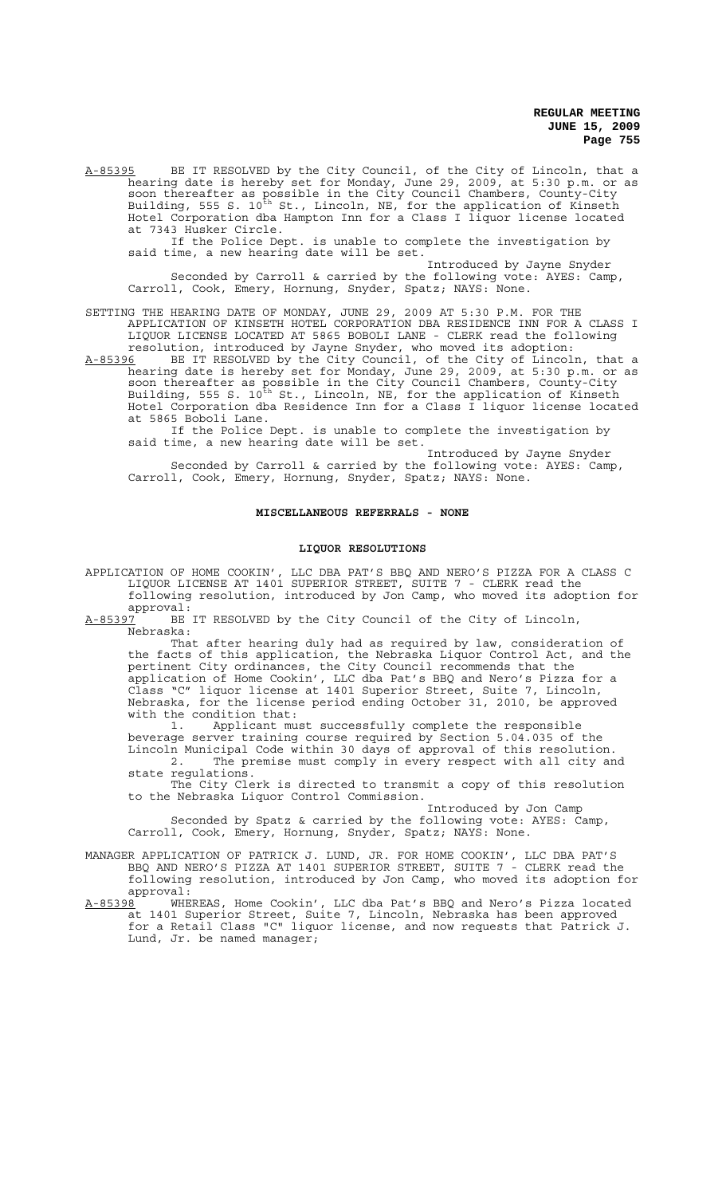A-85395 BE IT RESOLVED by the City Council, of the City of Lincoln, that a hearing date is hereby set for Monday, June 29, 2009, at 5:30 p.m. or as soon thereafter as possible in the City Council Chambers, County-City Building, 555 S. 10<sup>th</sup> St., Lincoln, NE, for the application of Kinseth Hotel Corporation dba Hampton Inn for a Class I liquor license located at 7343 Husker Circle.

If the Police Dept. is unable to complete the investigation by said time, a new hearing date will be set.

Introduced by Jayne Snyder Seconded by Carroll & carried by the following vote: AYES: Camp, Carroll, Cook, Emery, Hornung, Snyder, Spatz; NAYS: None.

SETTING THE HEARING DATE OF MONDAY, JUNE 29, 2009 AT 5:30 P.M. FOR THE APPLICATION OF KINSETH HOTEL CORPORATION DBA RESIDENCE INN FOR A CLASS I LIQUOR LICENSE LOCATED AT 5865 BOBOLI LANE - CLERK read the following resolution, introduced by Jayne Snyder, who moved its adoption:

A-85396 BE IT RESOLVED by the City Council, of the City of Lincoln, that a hearing date is hereby set for Monday, June 29, 2009, at 5:30 p.m. or as soon thereafter as possible in the City Council Chambers, County-City Building, 555 S. 10<sup>th</sup> St., Lincoln, NE, for the application of Kinseth Hotel Corporation dba Residence Inn for a Class I liquor license located at 5865 Boboli Lane.

If the Police Dept. is unable to complete the investigation by said time, a new hearing date will be set.

Introduced by Jayne Snyder Seconded by Carroll & carried by the following vote: AYES: Camp, Carroll, Cook, Emery, Hornung, Snyder, Spatz; NAYS: None.

### **MISCELLANEOUS REFERRALS - NONE**

### **LIQUOR RESOLUTIONS**

APPLICATION OF HOME COOKIN', LLC DBA PAT'S BBQ AND NERO'S PIZZA FOR A CLASS C LIQUOR LICENSE AT 1401 SUPERIOR STREET, SUITE 7 - CLERK read the following resolution, introduced by Jon Camp, who moved its adoption for approval:

A-85397 BE IT RESOLVED by the City Council of the City of Lincoln, Nebraska:

That after hearing duly had as required by law, consideration of the facts of this application, the Nebraska Liquor Control Act, and the pertinent City ordinances, the City Council recommends that the application of Home Cookin', LLC dba Pat's BBQ and Nero's Pizza for a Class "C" liquor license at 1401 Superior Street, Suite 7, Lincoln, Nebraska, for the license period ending October 31, 2010, be approved with the condition that:

1. Applicant must successfully complete the responsible beverage server training course required by Section 5.04.035 of the Lincoln Municipal Code within 30 days of approval of this resolution. 2. The premise must comply in every respect with all city and

state regulations. The City Clerk is directed to transmit a copy of this resolution to the Nebraska Liquor Control Commission.

Introduced by Jon Camp Seconded by Spatz & carried by the following vote: AYES: Camp, Carroll, Cook, Emery, Hornung, Snyder, Spatz; NAYS: None.

MANAGER APPLICATION OF PATRICK J. LUND, JR. FOR HOME COOKIN', LLC DBA PAT'S BBQ AND NERO'S PIZZA AT 1401 SUPERIOR STREET, SUITE 7 - CLERK read the following resolution, introduced by Jon Camp, who moved its adoption for approval:

A-85398 MHEREAS, Home Cookin', LLC dba Pat's BBQ and Nero's Pizza located at 1401 Superior Street, Suite 7, Lincoln, Nebraska has been approved for a Retail Class "C" liquor license, and now requests that Patrick J. Lund, Jr. be named manager;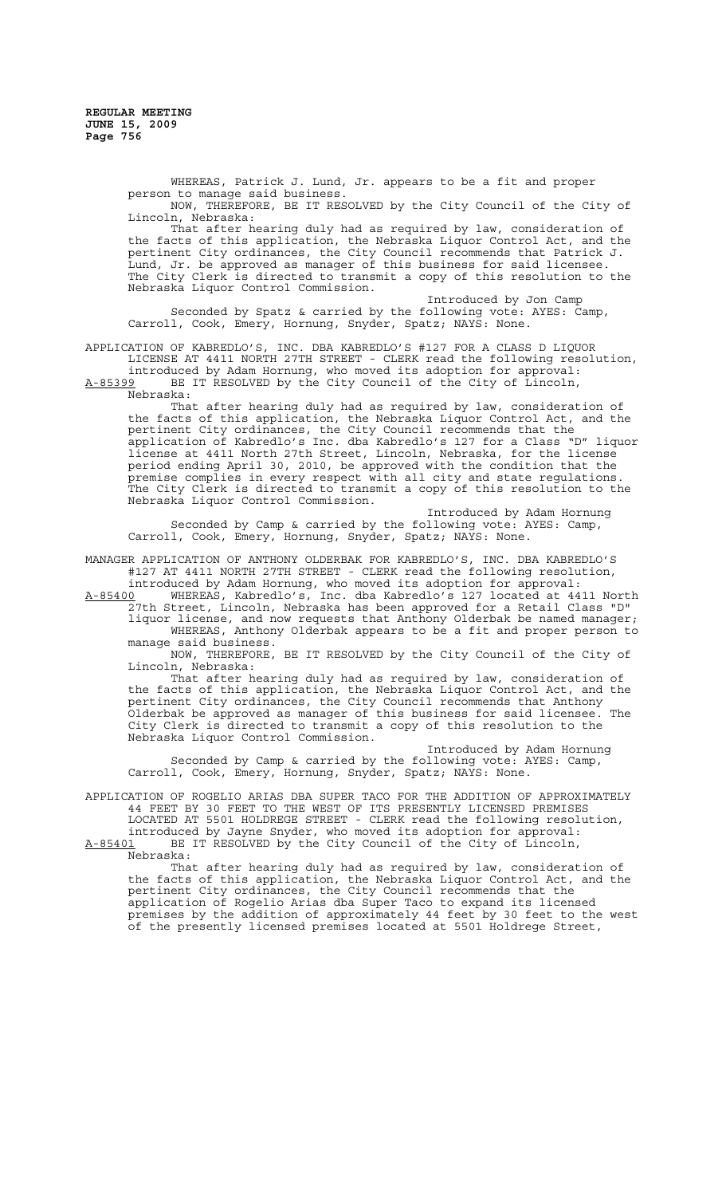WHEREAS, Patrick J. Lund, Jr. appears to be a fit and proper person to manage said business. NOW, THEREFORE, BE IT RESOLVED by the City Council of the City of

Lincoln, Nebraska: That after hearing duly had as required by law, consideration of the facts of this application, the Nebraska Liquor Control Act, and the pertinent City ordinances, the City Council recommends that Patrick J. Lund, Jr. be approved as manager of this business for said licensee. The City Clerk is directed to transmit a copy of this resolution to the Nebraska Liquor Control Commission.

Introduced by Jon Camp Seconded by Spatz & carried by the following vote: AYES: Camp, Carroll, Cook, Emery, Hornung, Snyder, Spatz; NAYS: None.

APPLICATION OF KABREDLO'S, INC. DBA KABREDLO'S #127 FOR A CLASS D LIQUOR LICENSE AT 4411 NORTH 27TH STREET - CLERK read the following resolution, introduced by Adam Hornung, who moved its adoption for approval:

A-85399 BE IT RESOLVED by the City Council of the City of Lincoln, Nebraska:

That after hearing duly had as required by law, consideration of the facts of this application, the Nebraska Liquor Control Act, and the pertinent City ordinances, the City Council recommends that the application of Kabredlo's Inc. dba Kabredlo's 127 for a Class "D" liquor license at 4411 North 27th Street, Lincoln, Nebraska, for the license period ending April 30, 2010, be approved with the condition that the premise complies in every respect with all city and state regulations. The City Clerk is directed to transmit a copy of this resolution to the Nebraska Liquor Control Commission.

Introduced by Adam Hornung Seconded by Camp & carried by the following vote: AYES: Camp, Carroll, Cook, Emery, Hornung, Snyder, Spatz; NAYS: None.

MANAGER APPLICATION OF ANTHONY OLDERBAK FOR KABREDLO'S, INC. DBA KABREDLO'S #127 AT 4411 NORTH 27TH STREET - CLERK read the following resolution, introduced by Adam Hornung, who moved its adoption for approval:

A-85400 WHEREAS, Kabredlo's, Inc. dba Kabredlo's 127 located at 4411 North 27th Street, Lincoln, Nebraska has been approved for a Retail Class "D"

liquor license, and now requests that Anthony Olderbak be named manager; WHEREAS, Anthony Olderbak appears to be a fit and proper person to manage said business.

NOW, THEREFORE, BE IT RESOLVED by the City Council of the City of Lincoln, Nebraska:

That after hearing duly had as required by law, consideration of the facts of this application, the Nebraska Liquor Control Act, and the pertinent City ordinances, the City Council recommends that Anthony Olderbak be approved as manager of this business for said licensee. The City Clerk is directed to transmit a copy of this resolution to the Nebraska Liquor Control Commission.

Introduced by Adam Hornung Seconded by Camp & carried by the following vote: AYES: Camp, Carroll, Cook, Emery, Hornung, Snyder, Spatz; NAYS: None.

APPLICATION OF ROGELIO ARIAS DBA SUPER TACO FOR THE ADDITION OF APPROXIMATELY 44 FEET BY 30 FEET TO THE WEST OF ITS PRESENTLY LICENSED PREMISES LOCATED AT 5501 HOLDREGE STREET - CLERK read the following resolution,

introduced by Jayne Snyder, who moved its adoption for approval: A-85401 BE IT RESOLVED by the City Council of the City of Lincoln,  $A-85401$  BE<br>Nebraska:

That after hearing duly had as required by law, consideration of the facts of this application, the Nebraska Liquor Control Act, and the pertinent City ordinances, the City Council recommends that the application of Rogelio Arias dba Super Taco to expand its licensed premises by the addition of approximately 44 feet by 30 feet to the west of the presently licensed premises located at 5501 Holdrege Street,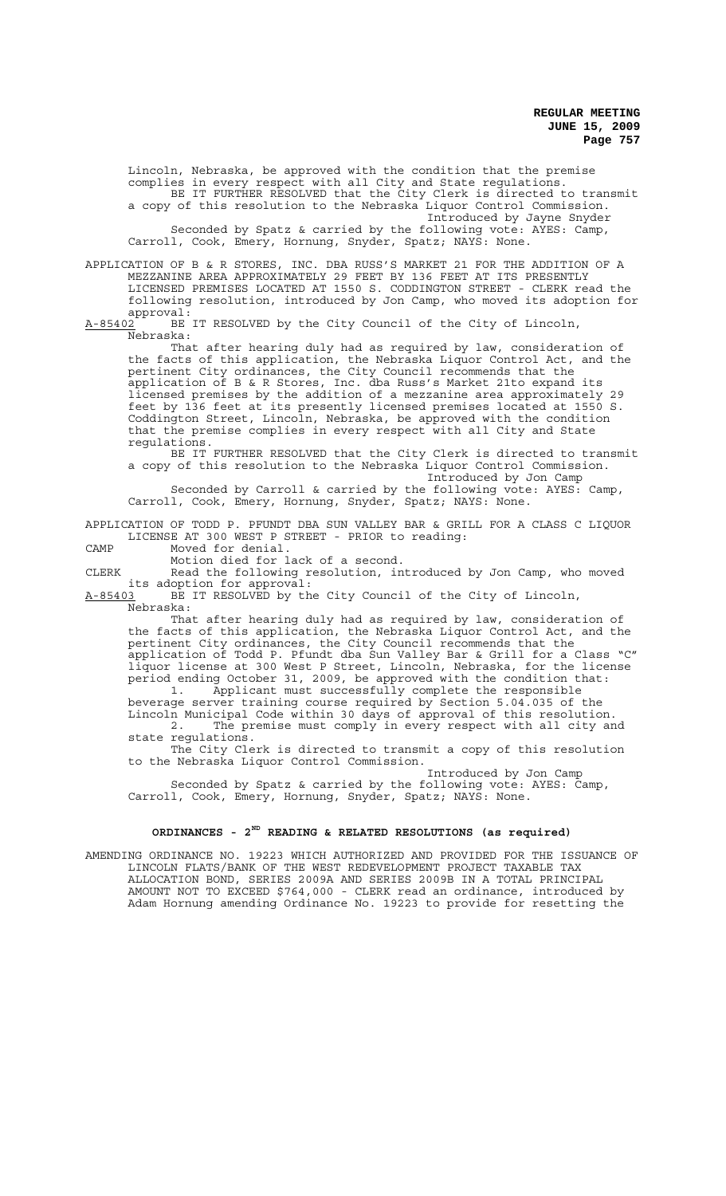Lincoln, Nebraska, be approved with the condition that the premise complies in every respect with all City and State regulations. BE IT FURTHER RESOLVED that the City Clerk is directed to transmit a copy of this resolution to the Nebraska Liquor Control Commission. Introduced by Jayne Snyder Seconded by Spatz & carried by the following vote: AYES: Camp, Carroll, Cook, Emery, Hornung, Snyder, Spatz; NAYS: None.

APPLICATION OF B & R STORES, INC. DBA RUSS'S MARKET 21 FOR THE ADDITION OF A MEZZANINE AREA APPROXIMATELY 29 FEET BY 136 FEET AT ITS PRESENTLY LICENSED PREMISES LOCATED AT 1550 S. CODDINGTON STREET - CLERK read the following resolution, introduced by Jon Camp, who moved its adoption for

approval:<br><u>A-85402</u> BE BE IT RESOLVED by the City Council of the City of Lincoln, Nebraska:

That after hearing duly had as required by law, consideration of the facts of this application, the Nebraska Liquor Control Act, and the pertinent City ordinances, the City Council recommends that the application of B & R Stores, Inc. dba Russ's Market 21to expand its licensed premises by the addition of a mezzanine area approximately 29 feet by 136 feet at its presently licensed premises located at 1550 S. Coddington Street, Lincoln, Nebraska, be approved with the condition that the premise complies in every respect with all City and State regulations.

BE IT FURTHER RESOLVED that the City Clerk is directed to transmit a copy of this resolution to the Nebraska Liquor Control Commission.

Introduced by Jon Camp Seconded by Carroll & carried by the following vote: AYES: Camp, Carroll, Cook, Emery, Hornung, Snyder, Spatz; NAYS: None.

APPLICATION OF TODD P. PFUNDT DBA SUN VALLEY BAR & GRILL FOR A CLASS C LIQUOR LICENSE AT 300 WEST P STREET - PRIOR to reading:

CAMP Moved for denial.

Motion died for lack of a second.

CLERK Read the following resolution, introduced by Jon Camp, who moved its adoption for approval:

A-85403 BE IT RESOLVED by the City Council of the City of Lincoln, Nebraska:

That after hearing duly had as required by law, consideration of the facts of this application, the Nebraska Liquor Control Act, and the pertinent City ordinances, the City Council recommends that the application of Todd P. Pfundt dba Sun Valley Bar & Grill for a Class "C" liquor license at 300 West P Street, Lincoln, Nebraska, for the license period ending October 31, 2009, be approved with the condition that:

1. Applicant must successfully complete the responsible beverage server training course required by Section 5.04.035 of the Lincoln Municipal Code within 30 days of approval of this resolution.<br>2. The premise must comply in every respect with all city an The premise must comply in every respect with all city and

state regulations. The City Clerk is directed to transmit a copy of this resolution to the Nebraska Liquor Control Commission.

Introduced by Jon Camp Seconded by Spatz & carried by the following vote: AYES: Camp, Carroll, Cook, Emery, Hornung, Snyder, Spatz; NAYS: None.

# **ORDINANCES - 2ND READING & RELATED RESOLUTIONS (as required)**

AMENDING ORDINANCE NO. 19223 WHICH AUTHORIZED AND PROVIDED FOR THE ISSUANCE OF LINCOLN FLATS/BANK OF THE WEST REDEVELOPMENT PROJECT TAXABLE TAX ALLOCATION BOND, SERIES 2009A AND SERIES 2009B IN A TOTAL PRINCIPAL AMOUNT NOT TO EXCEED \$764,000 - CLERK read an ordinance, introduced by Adam Hornung amending Ordinance No. 19223 to provide for resetting the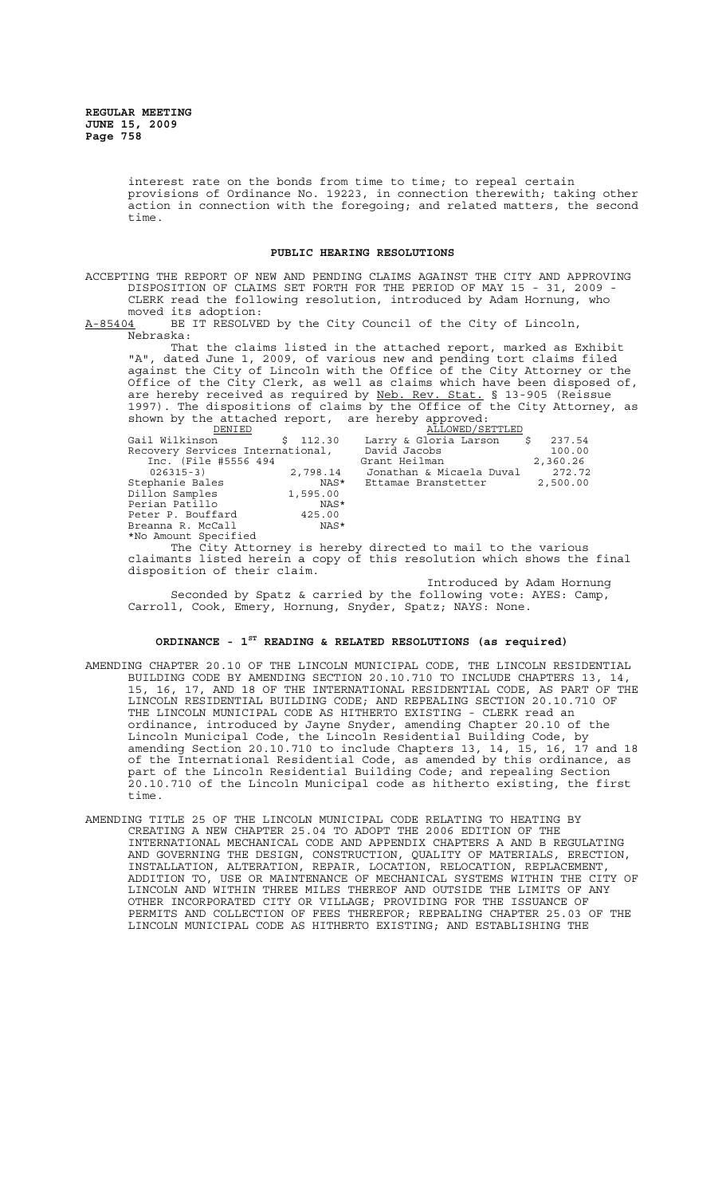interest rate on the bonds from time to time; to repeal certain provisions of Ordinance No. 19223, in connection therewith; taking other action in connection with the foregoing; and related matters, the second time.

# **PUBLIC HEARING RESOLUTIONS**

ACCEPTING THE REPORT OF NEW AND PENDING CLAIMS AGAINST THE CITY AND APPROVING DISPOSITION OF CLAIMS SET FORTH FOR THE PERIOD OF MAY 15 - 31, 2009 - CLERK read the following resolution, introduced by Adam Hornung, who moved its adoption:

A-85404 BE IT RESOLVED by the City Council of the City of Lincoln, Nebraska:

That the claims listed in the attached report, marked as Exhibit "A", dated June 1, 2009, of various new and pending tort claims filed against the City of Lincoln with the Office of the City Attorney or the Office of the City Clerk, as well as claims which have been disposed of, are hereby received as required by Neb. Rev. Stat. § 13-905 (Reissue 1997). The dispositions of claims by the Office of the City Attorney, as shown by the attached report, are hereby approved:

| DENIED                           |          | ALLOWED/SETTLED                                                                                                                                                                                                                         |          |
|----------------------------------|----------|-----------------------------------------------------------------------------------------------------------------------------------------------------------------------------------------------------------------------------------------|----------|
| Gail Wilkinson                   | \$112.30 | Larry & Gloria Larson \$ 237.54                                                                                                                                                                                                         |          |
| Recovery Services International, |          | David Jacobs                                                                                                                                                                                                                            | 100.00   |
| Inc. (File #5556 494)            |          | Grant Heilman                                                                                                                                                                                                                           | 2,360.26 |
| $026315 - 3)$                    | 2,798.14 | Jonathan & Micaela Duval                                                                                                                                                                                                                | 272.72   |
| Stephanie Bales                  | NAS*     | Ettamae Branstetter                                                                                                                                                                                                                     | 2,500.00 |
| Dillon Samples                   | 1,595.00 |                                                                                                                                                                                                                                         |          |
| Perian Patillo                   | NAS*     |                                                                                                                                                                                                                                         |          |
| Peter P. Bouffard                | 425.00   |                                                                                                                                                                                                                                         |          |
| Breanna R. McCall                | NAS*     |                                                                                                                                                                                                                                         |          |
| *No Amount Specified             |          |                                                                                                                                                                                                                                         |          |
|                                  |          | $\mathbf{r} = \mathbf{r}$ , and the contract of the contract of the contract of the contract of the contract of the contract of the contract of the contract of the contract of the contract of the contract of the contract of the con |          |

The City Attorney is hereby directed to mail to the various claimants listed herein a copy of this resolution which shows the final disposition of their claim.

Introduced by Adam Hornung Seconded by Spatz & carried by the following vote: AYES: Camp, Carroll, Cook, Emery, Hornung, Snyder, Spatz; NAYS: None.

# **ORDINANCE - 1ST READING & RELATED RESOLUTIONS (as required)**

- AMENDING CHAPTER 20.10 OF THE LINCOLN MUNICIPAL CODE, THE LINCOLN RESIDENTIAL BUILDING CODE BY AMENDING SECTION 20.10.710 TO INCLUDE CHAPTERS 13, 14, 15, 16, 17, AND 18 OF THE INTERNATIONAL RESIDENTIAL CODE, AS PART OF THE LINCOLN RESIDENTIAL BUILDING CODE; AND REPEALING SECTION 20.10.710 OF THE LINCOLN MUNICIPAL CODE AS HITHERTO EXISTING - CLERK read an ordinance, introduced by Jayne Snyder, amending Chapter 20.10 of the Lincoln Municipal Code, the Lincoln Residential Building Code, by amending Section 20.10.710 to include Chapters 13, 14, 15, 16, 17 and 18 of the International Residential Code, as amended by this ordinance, as part of the Lincoln Residential Building Code; and repealing Section 20.10.710 of the Lincoln Municipal code as hitherto existing, the first time.
- AMENDING TITLE 25 OF THE LINCOLN MUNICIPAL CODE RELATING TO HEATING BY CREATING A NEW CHAPTER 25.04 TO ADOPT THE 2006 EDITION OF THE INTERNATIONAL MECHANICAL CODE AND APPENDIX CHAPTERS A AND B REGULATING AND GOVERNING THE DESIGN, CONSTRUCTION, QUALITY OF MATERIALS, ERECTION, INSTALLATION, ALTERATION, REPAIR, LOCATION, RELOCATION, REPLACEMENT, ADDITION TO, USE OR MAINTENANCE OF MECHANICAL SYSTEMS WITHIN THE CITY OF LINCOLN AND WITHIN THREE MILES THEREOF AND OUTSIDE THE LIMITS OF ANY OTHER INCORPORATED CITY OR VILLAGE; PROVIDING FOR THE ISSUANCE OF PERMITS AND COLLECTION OF FEES THEREFOR; REPEALING CHAPTER 25.03 OF THE LINCOLN MUNICIPAL CODE AS HITHERTO EXISTING; AND ESTABLISHING THE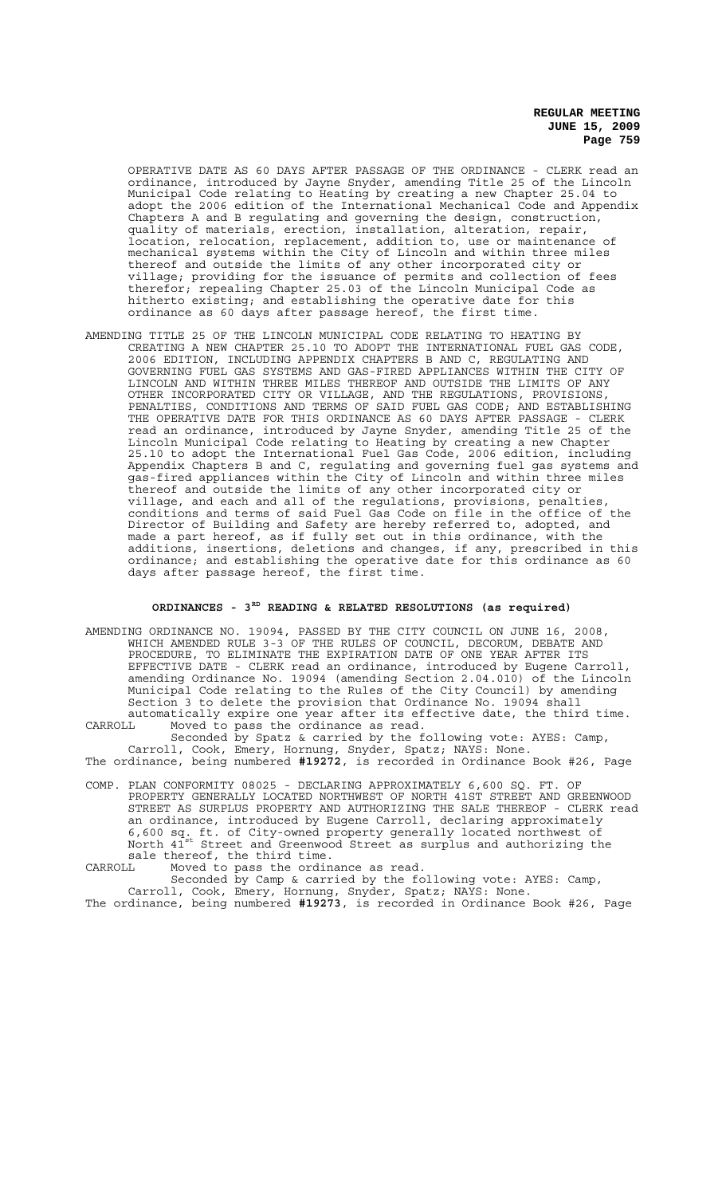OPERATIVE DATE AS 60 DAYS AFTER PASSAGE OF THE ORDINANCE - CLERK read an ordinance, introduced by Jayne Snyder, amending Title 25 of the Lincoln Municipal Code relating to Heating by creating a new Chapter 25.04 to adopt the 2006 edition of the International Mechanical Code and Appendix Chapters A and B regulating and governing the design, construction, quality of materials, erection, installation, alteration, repair, location, relocation, replacement, addition to, use or maintenance of mechanical systems within the City of Lincoln and within three miles thereof and outside the limits of any other incorporated city or village; providing for the issuance of permits and collection of fees therefor; repealing Chapter 25.03 of the Lincoln Municipal Code as hitherto existing; and establishing the operative date for this ordinance as 60 days after passage hereof, the first time.

AMENDING TITLE 25 OF THE LINCOLN MUNICIPAL CODE RELATING TO HEATING BY CREATING A NEW CHAPTER 25.10 TO ADOPT THE INTERNATIONAL FUEL GAS CODE, 2006 EDITION, INCLUDING APPENDIX CHAPTERS B AND C, REGULATING AND GOVERNING FUEL GAS SYSTEMS AND GAS-FIRED APPLIANCES WITHIN THE CITY OF LINCOLN AND WITHIN THREE MILES THEREOF AND OUTSIDE THE LIMITS OF ANY OTHER INCORPORATED CITY OR VILLAGE, AND THE REGULATIONS, PROVISIONS, PENALTIES, CONDITIONS AND TERMS OF SAID FUEL GAS CODE; AND ESTABLISHING THE OPERATIVE DATE FOR THIS ORDINANCE AS 60 DAYS AFTER PASSAGE - CLERK read an ordinance, introduced by Jayne Snyder, amending Title 25 of the Lincoln Municipal Code relating to Heating by creating a new Chapter 25.10 to adopt the International Fuel Gas Code, 2006 edition, including Appendix Chapters B and C, regulating and governing fuel gas systems and gas-fired appliances within the City of Lincoln and within three miles thereof and outside the limits of any other incorporated city or village, and each and all of the regulations, provisions, penalties, conditions and terms of said Fuel Gas Code on file in the office of the Director of Building and Safety are hereby referred to, adopted, and made a part hereof, as if fully set out in this ordinance, with the additions, insertions, deletions and changes, if any, prescribed in this ordinance; and establishing the operative date for this ordinance as 60 days after passage hereof, the first time.

# **ORDINANCES - 3RD READING & RELATED RESOLUTIONS (as required)**

AMENDING ORDINANCE NO. 19094, PASSED BY THE CITY COUNCIL ON JUNE 16, 2008, WHICH AMENDED RULE 3-3 OF THE RULES OF COUNCIL, DECORUM, DEBATE AND PROCEDURE, TO ELIMINATE THE EXPIRATION DATE OF ONE YEAR AFTER ITS EFFECTIVE DATE - CLERK read an ordinance, introduced by Eugene Carroll, amending Ordinance No. 19094 (amending Section 2.04.010) of the Lincoln Municipal Code relating to the Rules of the City Council) by amending Section 3 to delete the provision that Ordinance No. 19094 shall automatically expire one year after its effective date, the third time. CARROLL Moved to pass the ordinance as read.

Seconded by Spatz & carried by the following vote: AYES: Camp, Carroll, Cook, Emery, Hornung, Snyder, Spatz; NAYS: None.

The ordinance, being numbered **#19272**, is recorded in Ordinance Book #26, Page

COMP. PLAN CONFORMITY 08025 - DECLARING APPROXIMATELY 6,600 SQ. FT. OF PROPERTY GENERALLY LOCATED NORTHWEST OF NORTH 41ST STREET AND GREENWOOD STREET AS SURPLUS PROPERTY AND AUTHORIZING THE SALE THEREOF - CLERK read an ordinance, introduced by Eugene Carroll, declaring approximately 6,600 sq. ft. of City-owned property generally located northwest of North  $41^{\text{st}}$  Street and Greenwood Street as surplus and authorizing the sale thereof, the third time.<br>CARROLL Moved to pass the ordin

CARROLL Moved to pass the ordinance as read.

Seconded by Camp & carried by the following vote: AYES: Camp, Carroll, Cook, Emery, Hornung, Snyder, Spatz; NAYS: None.

The ordinance, being numbered **#19273**, is recorded in Ordinance Book #26, Page